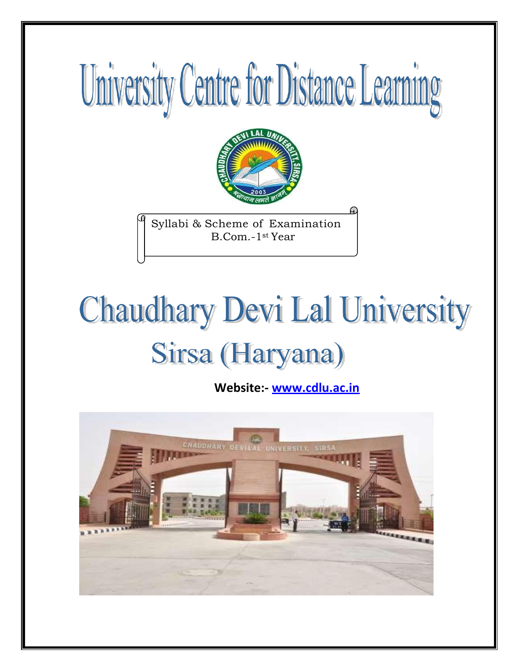# University Centre for Distance Learning



Syllabi & Scheme of Examination B.Com.-1st Year

# **Chaudhary Devi Lal University** Sirsa (Haryana)

**Website:- [www.cdlu.ac.in](http://www.cdlu.ac.in/)**

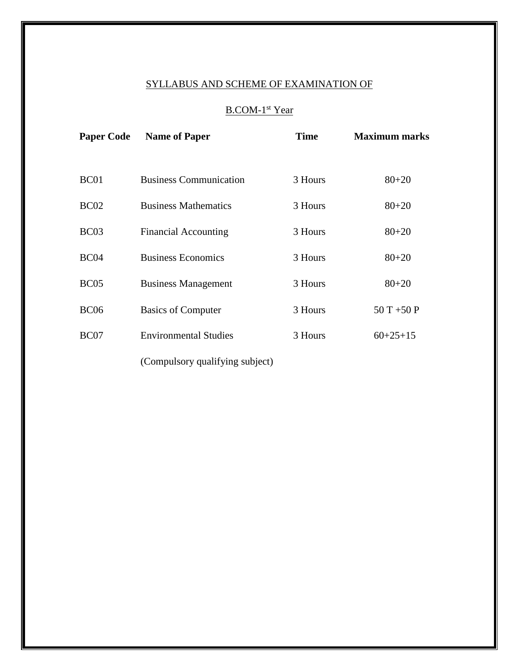# SYLLABUS AND SCHEME OF EXAMINATION OF

# B.COM-1<sup>st</sup> Year

| <b>Paper Code</b> | <b>Name of Paper</b>            | <b>Time</b> | <b>Maximum marks</b> |
|-------------------|---------------------------------|-------------|----------------------|
|                   |                                 |             |                      |
| BC <sub>01</sub>  | <b>Business Communication</b>   | 3 Hours     | $80 + 20$            |
| BC <sub>02</sub>  | <b>Business Mathematics</b>     | 3 Hours     | $80 + 20$            |
| BC <sub>03</sub>  | <b>Financial Accounting</b>     | 3 Hours     | $80 + 20$            |
| BC <sub>04</sub>  | <b>Business Economics</b>       | 3 Hours     | $80 + 20$            |
| BC <sub>05</sub>  | <b>Business Management</b>      | 3 Hours     | $80 + 20$            |
| <b>BC06</b>       | <b>Basics of Computer</b>       | 3 Hours     | $50T + 50P$          |
| BC07              | <b>Environmental Studies</b>    | 3 Hours     | $60+25+15$           |
|                   | (Compulsory qualifying subject) |             |                      |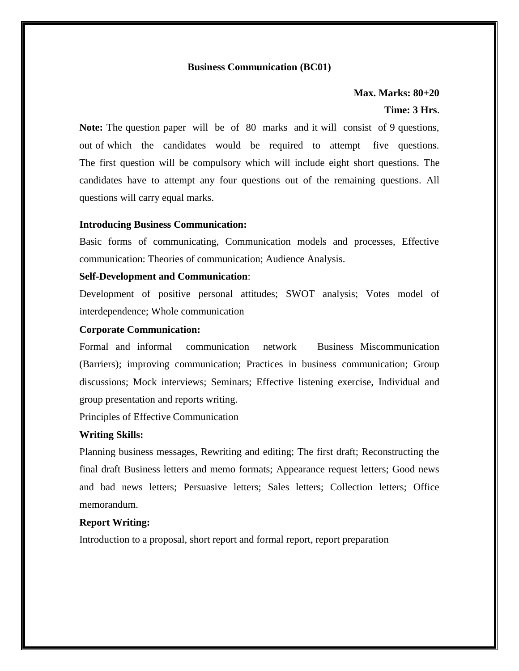# **Business Communication (BC01)**

**Max. Marks: 80+20**

# **Time: 3 Hrs**.

**Note:** The question paper will be of 80 marks and it will consist of 9 questions, out of which the candidates would be required to attempt five questions. The first question will be compulsory which will include eight short questions. The candidates have to attempt any four questions out of the remaining questions. All questions will carry equal marks.

# **Introducing Business Communication:**

Basic forms of communicating, Communication models and processes, Effective communication: Theories of communication; Audience Analysis.

# **Self-Development and Communication**:

Development of positive personal attitudes; SWOT analysis; Votes model of interdependence; Whole communication

# **Corporate Communication:**

Formal and informal communication network Business Miscommunication (Barriers); improving communication; Practices in business communication; Group discussions; Mock interviews; Seminars; Effective listening exercise, Individual and group presentation and reports writing.

Principles of Effective Communication

# **Writing Skills:**

Planning business messages, Rewriting and editing; The first draft; Reconstructing the final draft Business letters and memo formats; Appearance request letters; Good news and bad news letters; Persuasive letters; Sales letters; Collection letters; Office memorandum.

# **Report Writing:**

Introduction to a proposal, short report and formal report, report preparation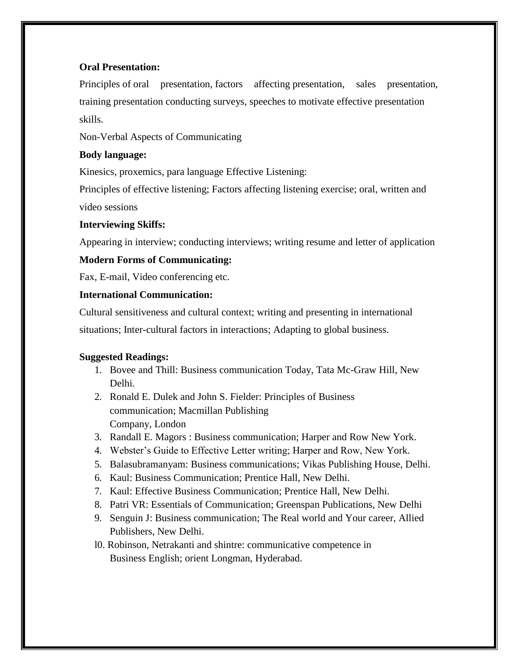# **Oral Presentation:**

Principles of oral presentation, factors affecting presentation, sales presentation, training presentation conducting surveys, speeches to motivate effective presentation skills.

Non-Verbal Aspects of Communicating

# **Body language:**

Kinesics, proxemics, para language Effective Listening:

Principles of effective listening; Factors affecting listening exercise; oral, written and

video sessions

# **Interviewing Skiffs:**

Appearing in interview; conducting interviews; writing resume and letter of application

# **Modern Forms of Communicating:**

Fax, E-mail, Video conferencing etc.

# **International Communication:**

Cultural sensitiveness and cultural context; writing and presenting in international

situations; Inter-cultural factors in interactions; Adapting to global business.

# **Suggested Readings:**

- 1. Bovee and Thill: Business communication Today, Tata Mc-Graw Hill, New Delhi.
- 2. Ronald E. Dulek and John S. Fielder: Principles of Business communication; Macmillan Publishing Company, London
- 3. Randall E. Magors : Business communication; Harper and Row New York.
- 4. Webster's Guide to Effective Letter writing; Harper and Row, New York.
- 5. Balasubramanyam: Business communications; Vikas Publishing House, Delhi.
- 6. Kaul: Business Communication; Prentice Hall, New Delhi.
- 7. Kaul: Effective Business Communication; Prentice Hall, New Delhi.
- 8. Patri VR: Essentials of Communication; Greenspan Publications, New Delhi
- 9. Senguin J: Business communication; The Real world and Your career, Allied Publishers, New Delhi.
- l0. Robinson, Netrakanti and shintre: communicative competence in Business English; orient Longman, Hyderabad.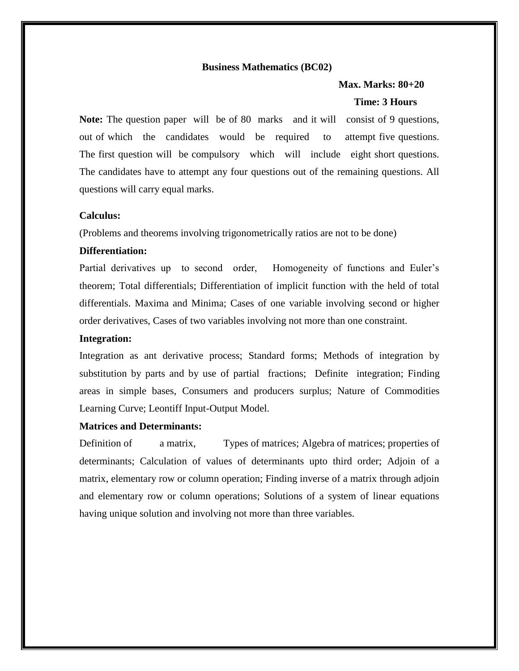# **Business Mathematics (BC02)**

# **Max. Marks: 80+20**

# **Time: 3 Hours**

**Note:** The question paper will be of 80 marks and it will consist of 9 questions, out of which the candidates would be required to attempt five questions. The first question will be compulsory which will include eight short questions. The candidates have to attempt any four questions out of the remaining questions. All questions will carry equal marks.

# **Calculus:**

(Problems and theorems involving trigonometrically ratios are not to be done)

# **Differentiation:**

Partial derivatives up to second order, Homogeneity of functions and Euler's theorem; Total differentials; Differentiation of implicit function with the held of total differentials. Maxima and Minima; Cases of one variable involving second or higher order derivatives, Cases of two variables involving not more than one constraint.

### **Integration:**

Integration as ant derivative process; Standard forms; Methods of integration by substitution by parts and by use of partial fractions; Definite integration; Finding areas in simple bases, Consumers and producers surplus; Nature of Commodities Learning Curve; Leontiff Input-Output Model.

# **Matrices and Determinants:**

Definition of a matrix, Types of matrices; Algebra of matrices; properties of determinants; Calculation of values of determinants upto third order; Adjoin of a matrix, elementary row or column operation; Finding inverse of a matrix through adjoin and elementary row or column operations; Solutions of a system of linear equations having unique solution and involving not more than three variables.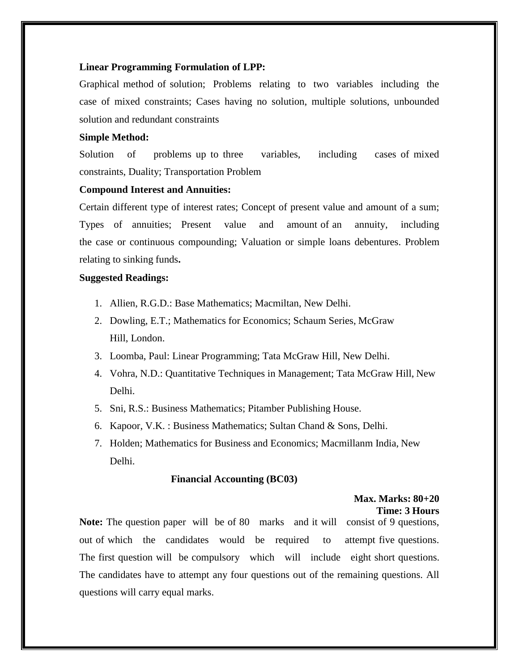# **Linear Programming Formulation of LPP:**

Graphical method of solution; Problems relating to two variables including the case of mixed constraints; Cases having no solution, multiple solutions, unbounded solution and redundant constraints

# **Simple Method:**

Solution of problems up to three variables, including cases of mixed constraints, Duality; Transportation Problem

# **Compound Interest and Annuities:**

Certain different type of interest rates; Concept of present value and amount of a sum; Types of annuities; Present value and amount of an annuity, including the case or continuous compounding; Valuation or simple loans debentures. Problem relating to sinking funds**.**

# **Suggested Readings:**

- 1. Allien, R.G.D.: Base Mathematics; Macmiltan, New Delhi.
- 2. Dowling, E.T.; Mathematics for Economics; Schaum Series, McGraw Hill, London.
- 3. Loomba, Paul: Linear Programming; Tata McGraw Hill, New Delhi.
- 4. Vohra, N.D.: Quantitative Techniques in Management; Tata McGraw Hill, New Delhi.
- 5. Sni, R.S.: Business Mathematics; Pitamber Publishing House.
- 6. Kapoor, V.K. : Business Mathematics; Sultan Chand & Sons, Delhi.
- 7. Holden; Mathematics for Business and Economics; Macmillanm India, New Delhi.

### **Financial Accounting (BC03)**

# **Max. Marks: 80+20 Time: 3 Hours**

**Note:** The question paper will be of 80 marks and it will consist of 9 questions, out of which the candidates would be required to attempt five questions. The first question will be compulsory which will include eight short questions. The candidates have to attempt any four questions out of the remaining questions. All questions will carry equal marks.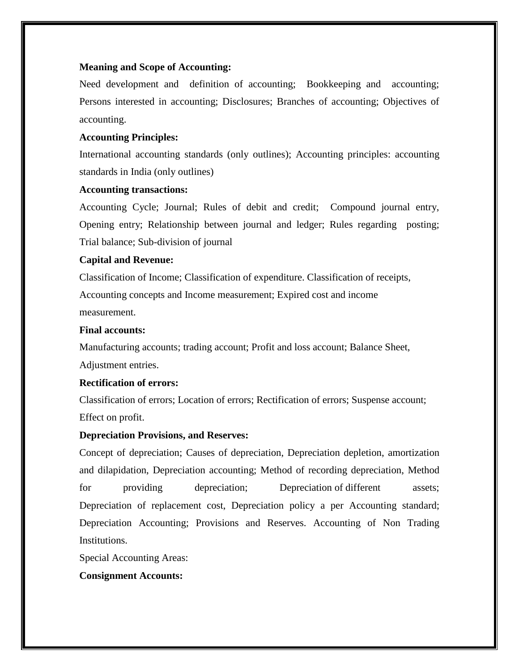# **Meaning and Scope of Accounting:**

Need development and definition of accounting; Bookkeeping and accounting; Persons interested in accounting; Disclosures; Branches of accounting; Objectives of accounting.

# **Accounting Principles:**

International accounting standards (only outlines); Accounting principles: accounting standards in India (only outlines)

# **Accounting transactions:**

Accounting Cycle; Journal; Rules of debit and credit; Compound journal entry, Opening entry; Relationship between journal and ledger; Rules regarding posting; Trial balance; Sub-division of journal

# **Capital and Revenue:**

Classification of Income; Classification of expenditure. Classification of receipts, Accounting concepts and Income measurement; Expired cost and income measurement.

# **Final accounts:**

Manufacturing accounts; trading account; Profit and loss account; Balance Sheet, Adjustment entries.

# **Rectification of errors:**

Classification of errors; Location of errors; Rectification of errors; Suspense account; Effect on profit.

# **Depreciation Provisions, and Reserves:**

Concept of depreciation; Causes of depreciation, Depreciation depletion, amortization and dilapidation, Depreciation accounting; Method of recording depreciation, Method for providing depreciation; Depreciation of different assets; Depreciation of replacement cost, Depreciation policy a per Accounting standard; Depreciation Accounting; Provisions and Reserves. Accounting of Non Trading Institutions.

Special Accounting Areas:

# **Consignment Accounts:**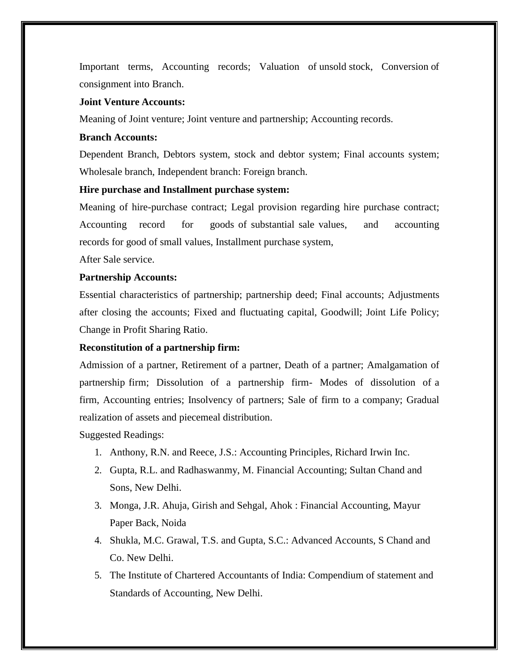Important terms, Accounting records; Valuation of unsold stock, Conversion of consignment into Branch.

# **Joint Venture Accounts:**

Meaning of Joint venture; Joint venture and partnership; Accounting records.

# **Branch Accounts:**

Dependent Branch, Debtors system, stock and debtor system; Final accounts system; Wholesale branch, Independent branch: Foreign branch.

# **Hire purchase and Installment purchase system:**

Meaning of hire-purchase contract; Legal provision regarding hire purchase contract; Accounting record for goods of substantial sale values, and accounting records for good of small values, Installment purchase system,

After Sale service.

# **Partnership Accounts:**

Essential characteristics of partnership; partnership deed; Final accounts; Adjustments after closing the accounts; Fixed and fluctuating capital, Goodwill; Joint Life Policy; Change in Profit Sharing Ratio.

# **Reconstitution of a partnership firm:**

Admission of a partner, Retirement of a partner, Death of a partner; Amalgamation of partnership firm; Dissolution of a partnership firm- Modes of dissolution of a firm, Accounting entries; Insolvency of partners; Sale of firm to a company; Gradual realization of assets and piecemeal distribution.

Suggested Readings:

- 1. Anthony, R.N. and Reece, J.S.: Accounting Principles, Richard Irwin Inc.
- 2. Gupta, R.L. and Radhaswanmy, M. Financial Accounting; Sultan Chand and Sons, New Delhi.
- 3. Monga, J.R. Ahuja, Girish and Sehgal, Ahok : Financial Accounting, Mayur Paper Back, Noida
- 4. Shukla, M.C. Grawal, T.S. and Gupta, S.C.: Advanced Accounts, S Chand and Co. New Delhi.
- 5. The Institute of Chartered Accountants of India: Compendium of statement and Standards of Accounting, New Delhi.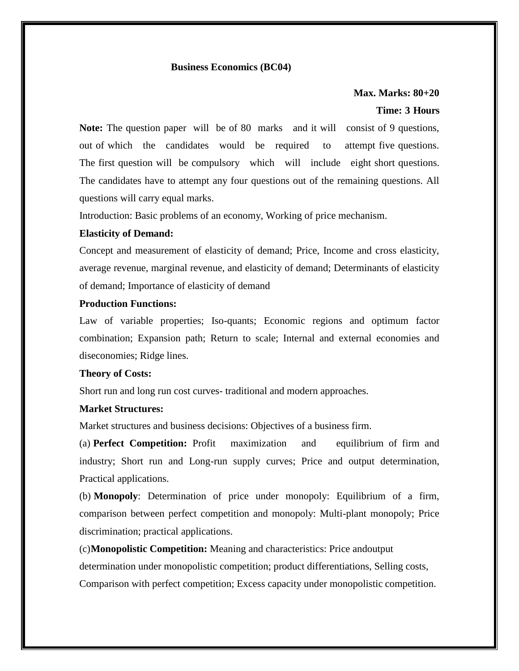# **Business Economics (BC04)**

# **Max. Marks: 80+20 Time: 3 Hours**

**Note:** The question paper will be of 80 marks and it will consist of 9 questions, out of which the candidates would be required to attempt five questions. The first question will be compulsory which will include eight short questions. The candidates have to attempt any four questions out of the remaining questions. All questions will carry equal marks.

Introduction: Basic problems of an economy, Working of price mechanism.

# **Elasticity of Demand:**

Concept and measurement of elasticity of demand; Price, Income and cross elasticity, average revenue, marginal revenue, and elasticity of demand; Determinants of elasticity of demand; Importance of elasticity of demand

# **Production Functions:**

Law of variable properties; Iso-quants; Economic regions and optimum factor combination; Expansion path; Return to scale; Internal and external economies and diseconomies; Ridge lines.

# **Theory of Costs:**

Short run and long run cost curves- traditional and modern approaches.

# **Market Structures:**

Market structures and business decisions: Objectives of a business firm.

(a) **Perfect Competition:** Profit maximization and equilibrium of firm and industry; Short run and Long-run supply curves; Price and output determination, Practical applications.

(b) **Monopoly**: Determination of price under monopoly: Equilibrium of a firm, comparison between perfect competition and monopoly: Multi-plant monopoly; Price discrimination; practical applications.

(c)**Monopolistic Competition:** Meaning and characteristics: Price andoutput determination under monopolistic competition; product differentiations, Selling costs, Comparison with perfect competition; Excess capacity under monopolistic competition.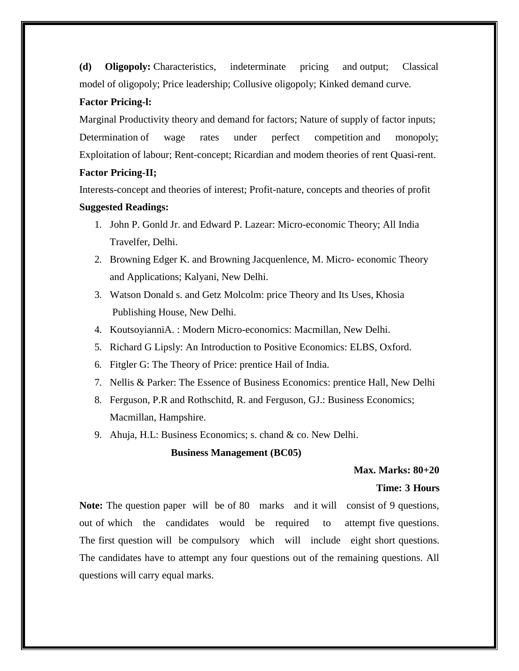**(d) Oligopoly:** Characteristics, indeterminate pricing and output; Classical model of oligopoly; Price leadership; Collusive oligopoly; Kinked demand curve.

# **Factor Pricing-l:**

Marginal Productivity theory and demand for factors; Nature of supply of factor inputs; Determination of wage rates under perfect competition and monopoly; Exploitation of labour; Rent-concept; Ricardian and modem theories of rent Quasi-rent.

# **Factor Pricing-II;**

Interests-concept and theories of interest; Profit-nature, concepts and theories of profit **Suggested Readings:**

- 1. John P. Gonld Jr. and Edward P. Lazear: Micro-economic Theory; All India Travelfer, Delhi.
- 2. Browning Edger K. and Browning Jacquenlence, M. Micro- economic Theory and Applications; Kalyani, New Delhi.
- 3. Watson Donald s. and Getz Molcolm: price Theory and Its Uses, Khosia Publishing House, New Delhi.
- 4. KoutsoyianniA. : Modern Micro-economics: Macmillan, New Delhi.
- 5. Richard G Lipsly: An Introduction to Positive Economics: ELBS, Oxford.
- 6. Fitgler G: The Theory of Price: prentice Hail of India.
- 7. Nellis & Parker: The Essence of Business Economics: prentice Hall, New Delhi
- 8. Ferguson, P.R and Rothschitd, R. and Ferguson, GJ.: Business Economics; Macmillan, Hampshire.
- 9. Ahuja, H.L: Business Economics; s. chand & co. New Delhi.

# **Business Management (BC05)**

# **Max. Marks: 80+20**

# **Time: 3 Hours**

**Note:** The question paper will be of 80 marks and it will consist of 9 questions, out of which the candidates would be required to attempt five questions. The first question will be compulsory which will include eight short questions. The candidates have to attempt any four questions out of the remaining questions. All questions will carry equal marks.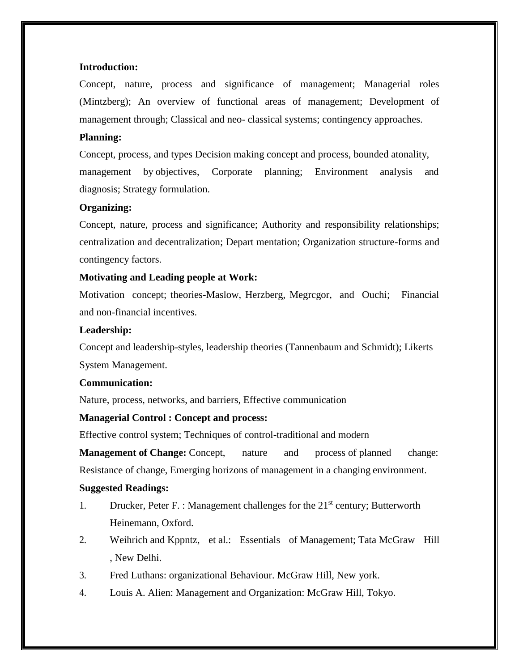# **Introduction:**

Concept, nature, process and significance of management; Managerial roles (Mintzberg); An overview of functional areas of management; Development of management through; Classical and neo- classical systems; contingency approaches.

# **Planning:**

Concept, process, and types Decision making concept and process, bounded atonality, management by objectives, Corporate planning; Environment analysis and diagnosis; Strategy formulation.

# **Organizing:**

Concept, nature, process and significance; Authority and responsibility relationships; centralization and decentralization; Depart mentation; Organization structure-forms and contingency factors.

# **Motivating and Leading people at Work:**

Motivation concept; theories-Maslow, Herzberg, Megrcgor, and Ouchi; Financial and non-financial incentives.

# **Leadership:**

Concept and leadership-styles, leadership theories (Tannenbaum and Schmidt); Likerts System Management.

# **Communication:**

Nature, process, networks, and barriers, Effective communication

# **Managerial Control : Concept and process:**

Effective control system; Techniques of control-traditional and modern

**Management of Change:** Concept, nature and process of planned change: Resistance of change, Emerging horizons of management in a changing environment.

# **Suggested Readings:**

- 1. Drucker, Peter F. : Management challenges for the  $21<sup>st</sup>$  century; Butterworth Heinemann, Oxford.
- 2. Weihrich and Kppntz, et al.: Essentials of Management; Tata McGraw Hill , New Delhi.
- 3. Fred Luthans: organizational Behaviour. McGraw Hill, New york.
- 4. Louis A. Alien: Management and Organization: McGraw Hill, Tokyo.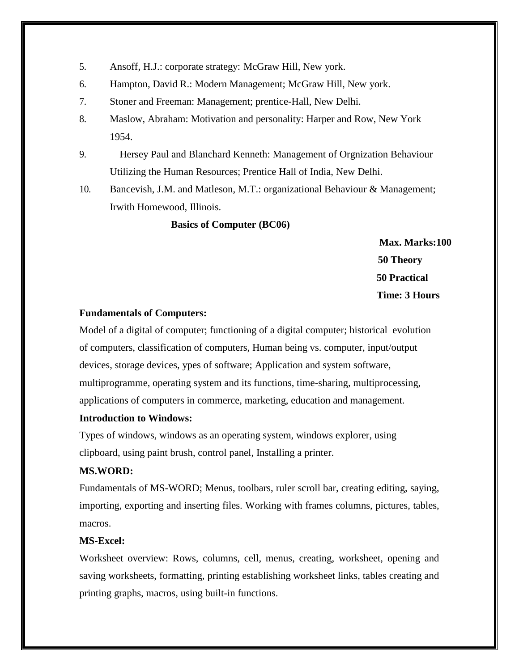- 5. Ansoff, H.J.: corporate strategy: McGraw Hill, New york.
- 6. Hampton, David R.: Modern Management; McGraw Hill, New york.
- 7. Stoner and Freeman: Management; prentice-Hall, New Delhi.
- 8. Maslow, Abraham: Motivation and personality: Harper and Row, New York 1954.
- 9. Hersey Paul and Blanchard Kenneth: Management of Orgnization Behaviour Utilizing the Human Resources; Prentice Hall of India, New Delhi.
- 10. Bancevish, J.M. and Matleson, M.T.: organizational Behaviour & Management; Irwith Homewood, Illinois.

# **Basics of Computer (BC06)**

**Max. Marks:100 50 Theory 50 Practical Time: 3 Hours** 

# **Fundamentals of Computers:**

Model of a digital of computer; functioning of a digital computer; historical evolution of computers, classification of computers, Human being vs. computer, input/output devices, storage devices, ypes of software; Application and system software, multiprogramme, operating system and its functions, time-sharing, multiprocessing, applications of computers in commerce, marketing, education and management.

# **Introduction to Windows:**

Types of windows, windows as an operating system, windows explorer, using clipboard, using paint brush, control panel, Installing a printer.

# **MS.WORD:**

Fundamentals of MS-WORD; Menus, toolbars, ruler scroll bar, creating editing, saying, importing, exporting and inserting files. Working with frames columns, pictures, tables, macros.

# **MS-Excel:**

Worksheet overview: Rows, columns, cell, menus, creating, worksheet, opening and saving worksheets, formatting, printing establishing worksheet links, tables creating and printing graphs, macros, using built-in functions.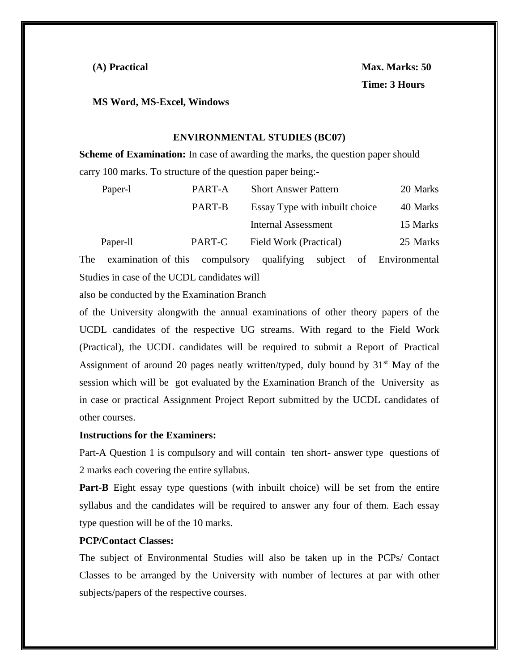**MS Word, MS-Excel, Windows**

# **ENVIRONMENTAL STUDIES (BC07)**

**Scheme of Examination:** In case of awarding the marks, the question paper should carry 100 marks. To structure of the question paper being:-

| Paper-1  | PART-A | <b>Short Answer Pattern</b>    | 20 Marks |
|----------|--------|--------------------------------|----------|
|          | PART-B | Essay Type with inbuilt choice | 40 Marks |
|          |        | <b>Internal Assessment</b>     | 15 Marks |
| Paper-11 | PART-C | Field Work (Practical)         | 25 Marks |
|          |        |                                |          |

The examination of this compulsory qualifying subject of Environmental Studies in case of the UCDL candidates will

also be conducted by the Examination Branch

of the University alongwith the annual examinations of other theory papers of the UCDL candidates of the respective UG streams. With regard to the Field Work (Practical), the UCDL candidates will be required to submit a Report of Practical Assignment of around 20 pages neatly written/typed, duly bound by  $31<sup>st</sup>$  May of the session which will be got evaluated by the Examination Branch of the University as in case or practical Assignment Project Report submitted by the UCDL candidates of other courses.

# **Instructions for the Examiners:**

Part-A Question 1 is compulsory and will contain ten short- answer type questions of 2 marks each covering the entire syllabus.

**Part-B** Eight essay type questions (with inbuilt choice) will be set from the entire syllabus and the candidates will be required to answer any four of them. Each essay type question will be of the 10 marks.

# **PCP/Contact Classes:**

The subject of Environmental Studies will also be taken up in the PCPs/ Contact Classes to be arranged by the University with number of lectures at par with other subjects/papers of the respective courses.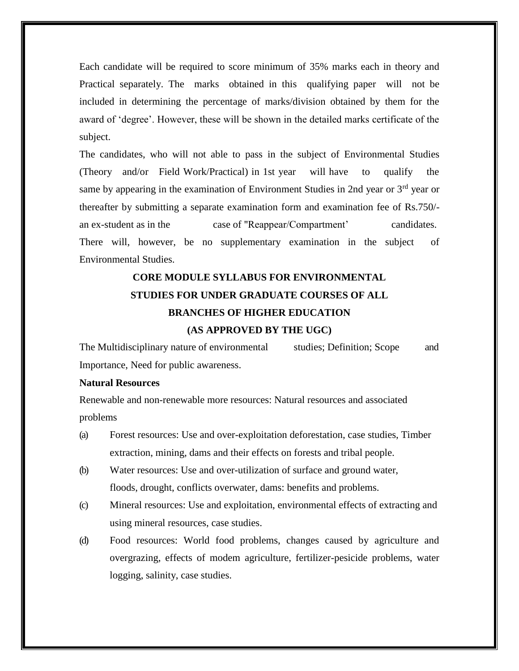Each candidate will be required to score minimum of 35% marks each in theory and Practical separately. The marks obtained in this qualifying paper will not be included in determining the percentage of marks/division obtained by them for the award of 'degree'. However, these will be shown in the detailed marks certificate of the subject.

The candidates, who will not able to pass in the subject of Environmental Studies (Theory and/or Field Work/Practical) in 1st year will have to qualify the same by appearing in the examination of Environment Studies in 2nd year or  $3<sup>rd</sup>$  year or thereafter by submitting a separate examination form and examination fee of Rs.750/ an ex-student as in the case of "Reappear/Compartment' candidates. There will, however, be no supplementary examination in the subject of Environmental Studies.

# **CORE MODULE SYLLABUS FOR ENVIRONMENTAL STUDIES FOR UNDER GRADUATE COURSES OF ALL BRANCHES OF HIGHER EDUCATION**

# **(AS APPROVED BY THE UGC)**

The Multidisciplinary nature of environmental studies; Definition; Scope and Importance, Need for public awareness.

# **Natural Resources**

Renewable and non-renewable more resources: Natural resources and associated problems

- (a) Forest resources: Use and over-exploitation deforestation, case studies, Timber extraction, mining, dams and their effects on forests and tribal people.
- (b) Water resources: Use and over-utilization of surface and ground water, floods, drought, conflicts overwater, dams: benefits and problems.
- (c) Mineral resources: Use and exploitation, environmental effects of extracting and using mineral resources, case studies.
- (d) Food resources: World food problems, changes caused by agriculture and overgrazing, effects of modem agriculture, fertilizer-pesicide problems, water logging, salinity, case studies.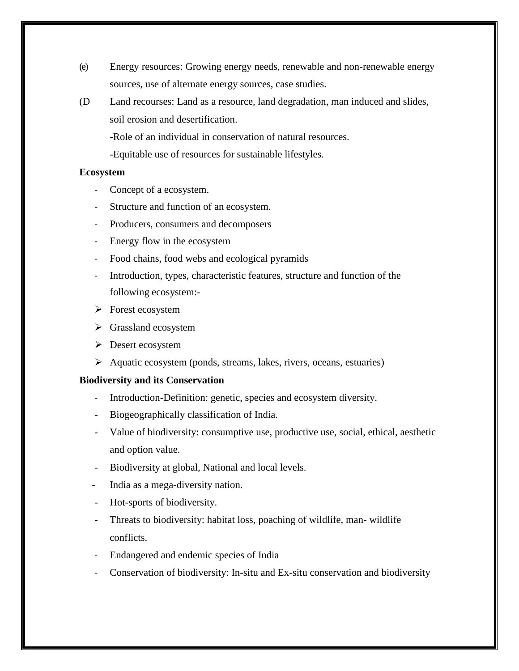- (e) Energy resources: Growing energy needs, renewable and non-renewable energy sources, use of alternate energy sources, case studies.
- (D Land recourses: Land as a resource, land degradation, man induced and slides, soil erosion and desertification.

-Role of an individual in conservation of natural resources.

-Equitable use of resources for sustainable lifestyles.

# **Ecosystem**

- Concept of a ecosystem.
- Structure and function of an ecosystem.
- Producers, consumers and decomposers
- Energy flow in the ecosystem
- Food chains, food webs and ecological pyramids
- Introduction, types, characteristic features, structure and function of the following ecosystem:-
- $\triangleright$  Forest ecosystem
- $\triangleright$  Grassland ecosystem
- **Desert ecosystem**
- Aquatic ecosystem (ponds, streams, lakes, rivers, oceans, estuaries)

# **Biodiversity and its Conservation**

- Introduction-Definition: genetic, species and ecosystem diversity.
- Biogeographically classification of India.
- Value of biodiversity: consumptive use, productive use, social, ethical, aesthetic and option value.
- Biodiversity at global, National and local levels.
- India as a mega-diversity nation.
- Hot-sports of biodiversity.
- Threats to biodiversity: habitat loss, poaching of wildlife, man- wildlife conflicts.
- Endangered and endemic species of India
- Conservation of biodiversity: In-situ and Ex-situ conservation and biodiversity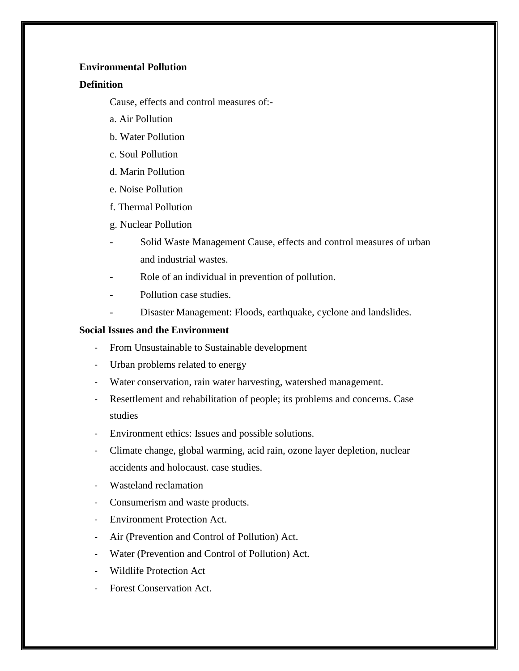# **Environmental Pollution**

# **Definition**

Cause, effects and control measures of:-

- a. Air Pollution
- b. Water Pollution
- c. Soul Pollution
- d. Marin Pollution
- e. Noise Pollution
- f. Thermal Pollution
- g. Nuclear Pollution
- Solid Waste Management Cause, effects and control measures of urban and industrial wastes.
- Role of an individual in prevention of pollution.
- Pollution case studies.
- Disaster Management: Floods, earthquake, cyclone and landslides.

# **Social Issues and the Environment**

- From Unsustainable to Sustainable development
- Urban problems related to energy
- Water conservation, rain water harvesting, watershed management.
- Resettlement and rehabilitation of people; its problems and concerns. Case studies
- Environment ethics: Issues and possible solutions.
- Climate change, global warming, acid rain, ozone layer depletion, nuclear accidents and holocaust. case studies.
- Wasteland reclamation
- Consumerism and waste products.
- Environment Protection Act.
- Air (Prevention and Control of Pollution) Act.
- Water (Prevention and Control of Pollution) Act.
- Wildlife Protection Act
- Forest Conservation Act.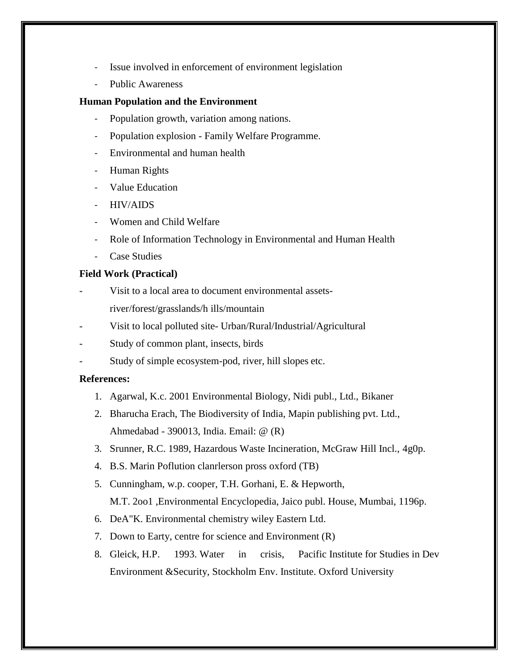- Issue involved in enforcement of environment legislation
- Public Awareness

# **Human Population and the Environment**

- Population growth, variation among nations.
- Population explosion Family Welfare Programme.
- Environmental and human health
- Human Rights
- Value Education
- HIV/AIDS
- Women and Child Welfare
- Role of Information Technology in Environmental and Human Health
- Case Studies

# **Field Work (Practical)**

- Visit to a local area to document environmental assets
	- river/forest/grasslands/h ills/mountain
- Visit to local polluted site- Urban/Rural/Industrial/Agricultural
- Study of common plant, insects, birds
- Study of simple ecosystem-pod, river, hill slopes etc.

# **References:**

- 1. Agarwal, K.c. 2001 Environmental Biology, Nidi publ., Ltd., Bikaner
- 2. Bharucha Erach, The Biodiversity of India, Mapin publishing pvt. Ltd., Ahmedabad - 390013, India. Email: @ (R)
- 3. Srunner, R.C. 1989, Hazardous Waste Incineration, McGraw Hill Incl., 4g0p.
- 4. B.S. Marin Poflution clanrlerson pross oxford (TB)
- 5. Cunningham, w.p. cooper, T.H. Gorhani, E. & Hepworth, M.T. 2oo1 ,Environmental Encyclopedia, Jaico publ. House, Mumbai, 1196p.
- 6. DeA"K. Environmental chemistry wiley Eastern Ltd.
- 7. Down to Earty, centre for science and Environment (R)
- 8. Gleick, H.P. 1993. Water in crisis, Pacific Institute for Studies in Dev Environment &Security, Stockholm Env. Institute. Oxford University